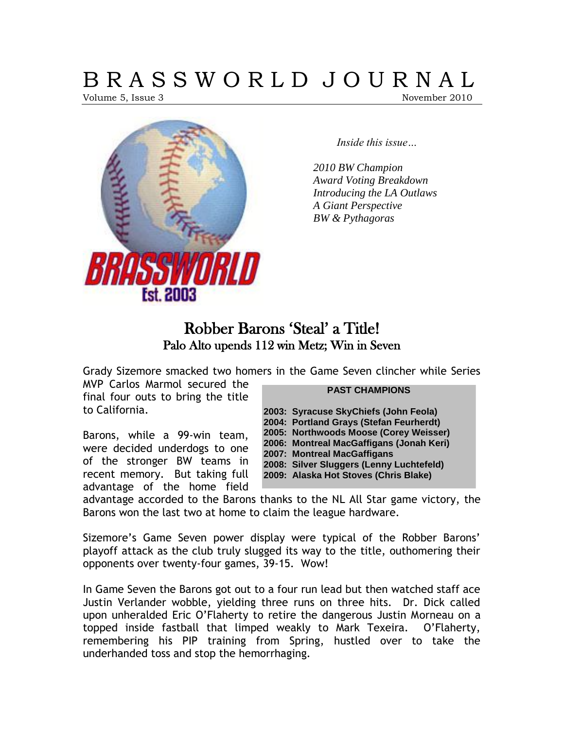# B R A S S W O R L D J O U R N A L

Volume 5, Issue 3 November 2010



*Inside this issue…*

*2010 BW Champion Award Voting Breakdown Introducing the LA Outlaws A Giant Perspective BW & Pythagoras*

### Robber Barons 'Steal' a Title! Palo Alto upends 112 win Metz; Win in Seven

Grady Sizemore smacked two homers in the Game Seven clincher while Series

MVP Carlos Marmol secured the final four outs to bring the title to California.

Barons, while a 99-win team,

were decided underdogs to one of the stronger BW teams in recent memory. But taking full advantage of the home field

#### **PAST CHAMPIONS**

**2003: Syracuse SkyChiefs (John Feola) 2004: Portland Grays (Stefan Feurherdt) 2005: Northwoods Moose (Corey Weisser) 2006: Montreal MacGaffigans (Jonah Keri) 2007: Montreal MacGaffigans 2008: Silver Sluggers (Lenny Luchtefeld) 2009: Alaska Hot Stoves (Chris Blake)**

advantage accorded to the Barons thanks to the NL All Star game victory, the Barons won the last two at home to claim the league hardware.

Sizemore's Game Seven power display were typical of the Robber Barons' playoff attack as the club truly slugged its way to the title, outhomering their opponents over twenty-four games, 39-15. Wow!

In Game Seven the Barons got out to a four run lead but then watched staff ace Justin Verlander wobble, yielding three runs on three hits. Dr. Dick called upon unheralded Eric O'Flaherty to retire the dangerous Justin Morneau on a topped inside fastball that limped weakly to Mark Texeira. O'Flaherty, remembering his PIP training from Spring, hustled over to take the underhanded toss and stop the hemorrhaging.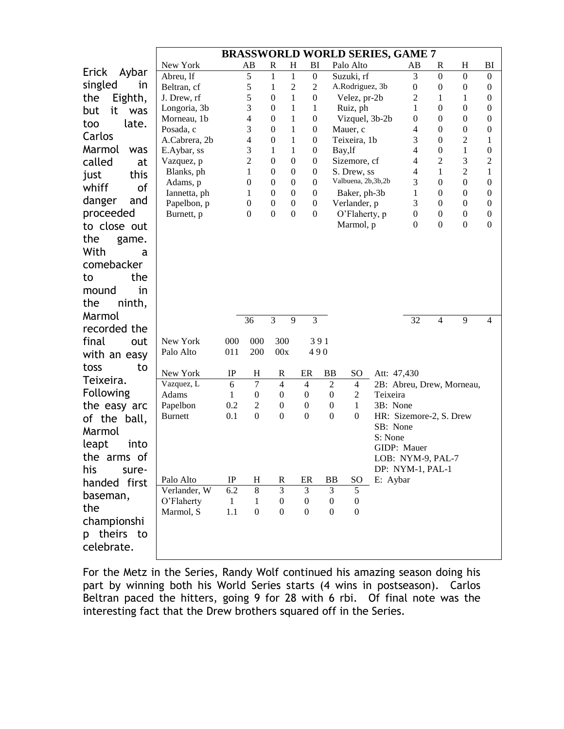|                  | <b>BRASSWORLD WORLD SERIES, GAME 7</b> |              |                            |                                  |                              |                                  |                  |                            |          |                                     |                                      |                                      |                     |
|------------------|----------------------------------------|--------------|----------------------------|----------------------------------|------------------------------|----------------------------------|------------------|----------------------------|----------|-------------------------------------|--------------------------------------|--------------------------------------|---------------------|
|                  | New York                               |              | AB                         | R                                | $H_{\rm}$                    | BI                               |                  | Palo Alto                  |          | AB                                  | $\mathbf R$                          | $H_{\rm}$                            | BI                  |
| Erick<br>Aybar   | Abreu, lf                              |              | 5                          | $\mathbf{1}$                     | $\mathbf{1}$                 | $\mathbf{0}$                     |                  | Suzuki, rf                 |          | 3                                   | $\boldsymbol{0}$                     | $\boldsymbol{0}$                     | $\boldsymbol{0}$    |
| singled<br>in    | Beltran, cf                            |              | 5                          | 1                                | $\mathfrak{2}$               | $\overline{2}$                   |                  | A.Rodriguez, 3b            |          | $\boldsymbol{0}$                    | $\boldsymbol{0}$                     | $\mathbf{0}$                         | $\boldsymbol{0}$    |
| Eighth,<br>the   | J. Drew, rf                            |              | 5                          | $\mathbf{0}$                     | $\mathbf{1}$                 | $\mathbf{0}$                     |                  | Velez, pr-2b               |          | $\overline{2}$                      | 1                                    | 1                                    | $\boldsymbol{0}$    |
| it<br>but<br>was | Longoria, 3b                           |              | 3<br>4                     | $\mathbf{0}$                     | 1                            | 1                                |                  | Ruiz, ph                   |          | 1                                   | $\boldsymbol{0}$                     | $\boldsymbol{0}$                     | 0                   |
| late.<br>too     | Morneau, 1b<br>Posada, c               |              | 3                          | $\boldsymbol{0}$<br>$\mathbf{0}$ | $\mathbf{1}$<br>$\mathbf{1}$ | $\mathbf{0}$<br>$\boldsymbol{0}$ |                  | Vizquel, 3b-2b<br>Mauer, c |          | $\theta$<br>4                       | $\boldsymbol{0}$<br>$\boldsymbol{0}$ | $\boldsymbol{0}$<br>$\boldsymbol{0}$ | 0<br>0              |
| Carlos           | A.Cabrera, 2b                          |              | $\overline{4}$             | $\boldsymbol{0}$                 | $\mathbf{1}$                 | $\boldsymbol{0}$                 |                  | Teixeira, 1b               |          | 3                                   | $\boldsymbol{0}$                     | 2                                    | 1                   |
| Marmol<br>was    | E.Aybar, ss                            |              | 3                          | 1                                | $\mathbf{1}$                 | $\boldsymbol{0}$                 |                  | Bay, lf                    |          | 4                                   | $\boldsymbol{0}$                     | $\mathbf{1}$                         | $\boldsymbol{0}$    |
| called<br>at     | Vazquez, p                             |              | $\overline{c}$             | $\boldsymbol{0}$                 | $\boldsymbol{0}$             | $\boldsymbol{0}$                 |                  | Sizemore, cf               |          | 4                                   | $\overline{c}$                       | 3                                    | $\overline{c}$      |
| this<br>just     | Blanks, ph                             |              | $\mathbf{1}$               | $\mathbf{0}$                     | $\boldsymbol{0}$             | $\boldsymbol{0}$                 |                  | S. Drew, ss.               |          | 4                                   | $\mathbf{1}$                         | $\mathfrak 2$                        | 1                   |
| whiff<br>of      | Adams, p                               |              | $\overline{0}$             | $\boldsymbol{0}$                 | $\boldsymbol{0}$             | $\boldsymbol{0}$                 |                  | Valbuena, 2b,3b,2b         |          | 3                                   | $\boldsymbol{0}$                     | $\boldsymbol{0}$                     | $\boldsymbol{0}$    |
| and              | Iannetta, ph                           |              | 1                          | $\mathbf{0}$                     | $\mathbf{0}$                 | $\boldsymbol{0}$                 |                  | Baker, ph-3b               |          | $\mathbf{1}$                        | $\boldsymbol{0}$                     | $\boldsymbol{0}$                     | 0                   |
| danger           | Papelbon, p                            |              | $\boldsymbol{0}$           | $\boldsymbol{0}$                 | $\boldsymbol{0}$             | $\boldsymbol{0}$                 |                  | Verlander, p               |          | 3                                   | $\boldsymbol{0}$                     | $\boldsymbol{0}$                     | $\boldsymbol{0}$    |
| proceeded        | Burnett, p                             |              | $\mathbf{0}$               | $\boldsymbol{0}$                 | $\overline{0}$               | $\mathbf{0}$                     |                  | O'Flaherty, p              |          | $\mathbf{0}$<br>$\boldsymbol{0}$    | $\boldsymbol{0}$<br>$\boldsymbol{0}$ | $\mathbf{0}$<br>$\boldsymbol{0}$     | 0<br>$\overline{0}$ |
| to close out     |                                        |              |                            |                                  |                              |                                  |                  | Marmol, p                  |          |                                     |                                      |                                      |                     |
| the<br>game.     |                                        |              |                            |                                  |                              |                                  |                  |                            |          |                                     |                                      |                                      |                     |
| With<br>a        |                                        |              |                            |                                  |                              |                                  |                  |                            |          |                                     |                                      |                                      |                     |
| comebacker       |                                        |              |                            |                                  |                              |                                  |                  |                            |          |                                     |                                      |                                      |                     |
| the<br>to        |                                        |              |                            |                                  |                              |                                  |                  |                            |          |                                     |                                      |                                      |                     |
| in<br>mound      |                                        |              |                            |                                  |                              |                                  |                  |                            |          |                                     |                                      |                                      |                     |
| ninth,<br>the    |                                        |              |                            |                                  |                              |                                  |                  |                            |          |                                     |                                      |                                      |                     |
| Marmol           |                                        |              | 36                         | 3                                | 9                            | 3                                |                  |                            |          | 32                                  | $\overline{4}$                       | 9                                    | $\overline{4}$      |
| recorded the     |                                        |              |                            |                                  |                              |                                  |                  |                            |          |                                     |                                      |                                      |                     |
| final<br>out     | New York                               | 000          | 000                        | 300                              |                              | 391                              |                  |                            |          |                                     |                                      |                                      |                     |
| with an easy     | Palo Alto                              | 011          | 200                        | 00x                              |                              | 490                              |                  |                            |          |                                     |                                      |                                      |                     |
| toss<br>to       |                                        |              |                            |                                  |                              |                                  |                  |                            |          |                                     |                                      |                                      |                     |
|                  | New York                               | $_{\rm IP}$  | H                          | R                                |                              | ER                               | BB               | SO.                        |          | Att: 47,430                         |                                      |                                      |                     |
| Teixeira.        | Vazquez, L                             | 6            | $\tau$                     | $\overline{4}$                   |                              | $\overline{4}$                   | $\overline{2}$   | 4                          |          | 2B: Abreu, Drew, Morneau,           |                                      |                                      |                     |
| Following        | Adams                                  | 1            | $\theta$                   | $\boldsymbol{0}$                 |                              | $\mathbf{0}$                     | $\boldsymbol{0}$ | 2                          | Teixeira |                                     |                                      |                                      |                     |
| the easy arc     | Papelbon                               | 0.2          | $\overline{c}$<br>$\theta$ | $\boldsymbol{0}$                 |                              | $\boldsymbol{0}$                 | $\boldsymbol{0}$ | $\mathbf{1}$               |          | 3B: None                            |                                      |                                      |                     |
| of the ball,     | <b>Burnett</b>                         | 0.1          |                            | $\boldsymbol{0}$                 |                              | $\boldsymbol{0}$                 | $\boldsymbol{0}$ | $\overline{0}$             |          | HR: Sizemore-2, S. Drew<br>SB: None |                                      |                                      |                     |
| Marmol           |                                        |              |                            |                                  |                              |                                  |                  |                            | S: None  |                                     |                                      |                                      |                     |
| leapt<br>into    |                                        |              |                            |                                  |                              |                                  |                  |                            |          | GIDP: Mauer                         |                                      |                                      |                     |
| the arms of      |                                        |              |                            |                                  |                              |                                  |                  |                            |          | LOB: NYM-9, PAL-7                   |                                      |                                      |                     |
| his<br>sure-     |                                        |              |                            |                                  |                              |                                  |                  |                            |          | DP: NYM-1, PAL-1                    |                                      |                                      |                     |
| handed first     | Palo Alto                              | $\rm IP$     | H                          | R                                |                              | ER                               | <b>BB</b>        | SO.                        |          | E: Aybar                            |                                      |                                      |                     |
| baseman,         | Verlander, W                           | 6.2          | 8                          | 3                                |                              | 3                                | $\overline{3}$   | 5                          |          |                                     |                                      |                                      |                     |
| the              | O'Flaherty                             | $\mathbf{1}$ | 1                          | $\boldsymbol{0}$                 |                              | $\mathbf{0}$                     | $\boldsymbol{0}$ | $\boldsymbol{0}$           |          |                                     |                                      |                                      |                     |
|                  | Marmol, S                              | 1.1          | $\mathbf{0}$               | $\mathbf{0}$                     |                              | $\boldsymbol{0}$                 | $\theta$         | $\Omega$                   |          |                                     |                                      |                                      |                     |
| championshi      |                                        |              |                            |                                  |                              |                                  |                  |                            |          |                                     |                                      |                                      |                     |
| p theirs to      |                                        |              |                            |                                  |                              |                                  |                  |                            |          |                                     |                                      |                                      |                     |
| celebrate.       |                                        |              |                            |                                  |                              |                                  |                  |                            |          |                                     |                                      |                                      |                     |

For the Metz in the Series, Randy Wolf continued his amazing season doing his part by winning both his World Series starts (4 wins in postseason). Carlos Beltran paced the hitters, going 9 for 28 with 6 rbi. Of final note was the interesting fact that the Drew brothers squared off in the Series.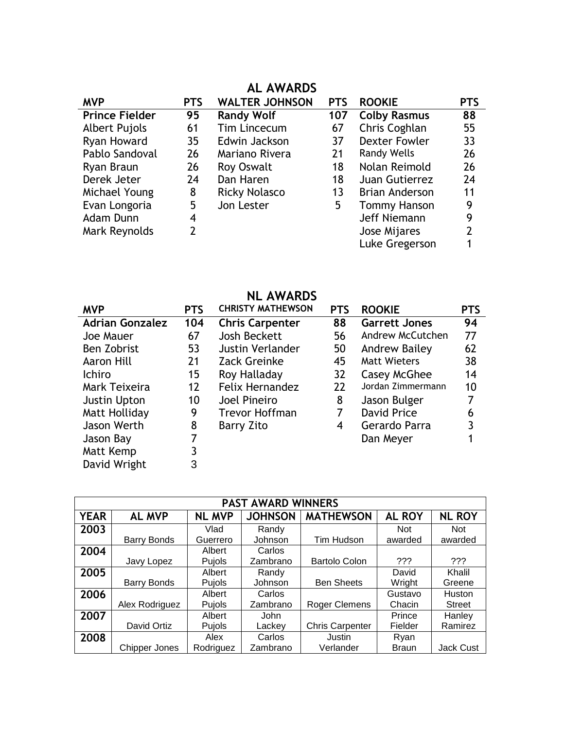### **AL AWARDS**

| <b>MVP</b>            | <b>PTS</b> | <b>WALTER JOHNSON</b> | <b>PTS</b> | <b>ROOKIE</b>         | <b>PTS</b> |
|-----------------------|------------|-----------------------|------------|-----------------------|------------|
| <b>Prince Fielder</b> | 95         | <b>Randy Wolf</b>     | 107        | <b>Colby Rasmus</b>   | 88         |
| <b>Albert Pujols</b>  | 61         | Tim Lincecum          | 67         | Chris Coghlan         | 55         |
| Ryan Howard           | 35         | Edwin Jackson         | 37         | <b>Dexter Fowler</b>  | 33         |
| Pablo Sandoval        | 26         | Mariano Rivera        | 21         | <b>Randy Wells</b>    | 26         |
| Ryan Braun            | 26         | <b>Roy Oswalt</b>     | 18         | Nolan Reimold         | 26         |
| Derek Jeter           | 24         | Dan Haren             | 18         | Juan Gutierrez        | 24         |
| Michael Young         | 8          | <b>Ricky Nolasco</b>  | 13         | <b>Brian Anderson</b> | 11         |
| Evan Longoria         | 5          | Jon Lester            | 5          | <b>Tommy Hanson</b>   | 9          |
| Adam Dunn             | 4          |                       |            | Jeff Niemann          | 9          |
| Mark Reynolds         | 2          |                       |            | Jose Mijares          | 2          |
|                       |            |                       |            | Luke Gregerson        |            |

|                        |            | <b>NL AWARDS</b>         |                 |                      |            |
|------------------------|------------|--------------------------|-----------------|----------------------|------------|
| <b>MVP</b>             | <b>PTS</b> | <b>CHRISTY MATHEWSON</b> | <b>PTS</b>      | <b>ROOKIE</b>        | <b>PTS</b> |
| <b>Adrian Gonzalez</b> | 104        | <b>Chris Carpenter</b>   | 88              | <b>Garrett Jones</b> | 94         |
| Joe Mauer              | 67         | Josh Beckett             | 56              | Andrew McCutchen     | 77         |
| <b>Ben Zobrist</b>     | 53         | <b>Justin Verlander</b>  | 50              | Andrew Bailey        | 62         |
| Aaron Hill             | 21         | Zack Greinke             | 45              | <b>Matt Wieters</b>  | 38         |
| <b>Ichiro</b>          | 15         | Roy Halladay             | 32 <sup>2</sup> | Casey McGhee         | 14         |
| Mark Teixeira          | 12         | <b>Felix Hernandez</b>   | 22              | Jordan Zimmermann    | 10         |
| Justin Upton           | 10         | Joel Pineiro             | 8               | Jason Bulger         | 7          |
| Matt Holliday          | 9          | <b>Trevor Hoffman</b>    | 7               | <b>David Price</b>   | 6          |
| Jason Werth            | 8          | <b>Barry Zito</b>        | 4               | Gerardo Parra        | 3          |
| Jason Bay              |            |                          |                 | Dan Meyer            |            |
| Matt Kemp              | 3          |                          |                 |                      |            |
| David Wright           | 3          |                          |                 |                      |            |

l,

| <b>PAST AWARD WINNERS</b> |                      |               |                |                        |               |                  |  |  |  |  |
|---------------------------|----------------------|---------------|----------------|------------------------|---------------|------------------|--|--|--|--|
| <b>YEAR</b>               | <b>AL MVP</b>        | <b>NL MVP</b> | <b>JOHNSON</b> | <b>MATHEWSON</b>       | <b>AL ROY</b> | <b>NL ROY</b>    |  |  |  |  |
| 2003                      |                      | Vlad          | Randy          |                        | <b>Not</b>    | <b>Not</b>       |  |  |  |  |
|                           | <b>Barry Bonds</b>   | Guerrero      | Johnson        | Tim Hudson             | awarded       | awarded          |  |  |  |  |
| 2004                      |                      | Albert        | Carlos         |                        |               |                  |  |  |  |  |
|                           | Javy Lopez           | Pujols        | Zambrano       | <b>Bartolo Colon</b>   | ???           | ???              |  |  |  |  |
| 2005                      |                      | Albert        | Randy          |                        | David         | Khalil           |  |  |  |  |
|                           | Barry Bonds          | Pujols        | Johnson        | <b>Ben Sheets</b>      | Wright        | Greene           |  |  |  |  |
| 2006                      |                      | Albert        | Carlos         |                        | Gustavo       | Huston           |  |  |  |  |
|                           | Alex Rodriguez       | Pujols        | Zambrano       | <b>Roger Clemens</b>   | Chacin        | <b>Street</b>    |  |  |  |  |
| 2007                      |                      | Albert        | <b>John</b>    |                        | Prince        | Hanley           |  |  |  |  |
|                           | David Ortiz          | Pujols        | Lackey         | <b>Chris Carpenter</b> | Fielder       | Ramirez          |  |  |  |  |
| 2008                      |                      | Alex          | Carlos         | Justin                 | Ryan          |                  |  |  |  |  |
|                           | <b>Chipper Jones</b> | Rodriguez     | Zambrano       | Verlander              | <b>Braun</b>  | <b>Jack Cust</b> |  |  |  |  |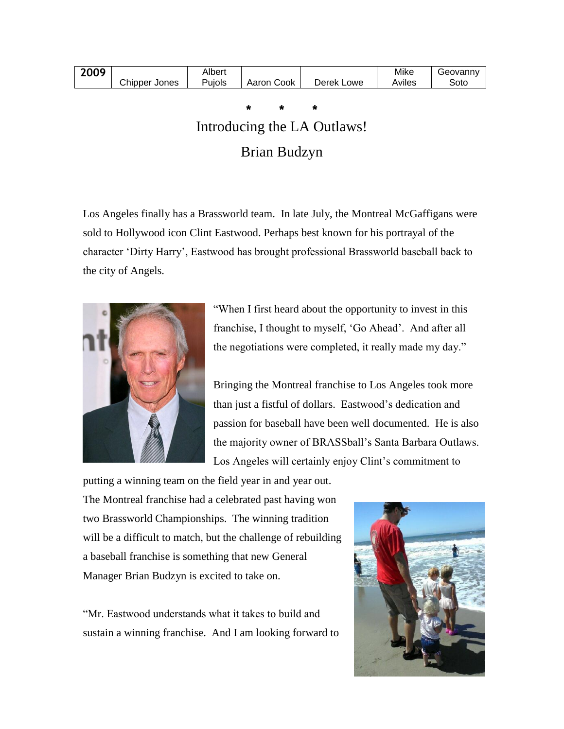| 2009 |                  | Albert |               |               | Mike   | eovann' |
|------|------------------|--------|---------------|---------------|--------|---------|
|      | Chipper<br>Jones | Pujols | Cook<br>Aaron | Derek<br>Lowe | Aviles | Sotc    |

**\* \* \***

# Introducing the LA Outlaws! Brian Budzyn

Los Angeles finally has a Brassworld team. In late July, the Montreal McGaffigans were sold to Hollywood icon Clint Eastwood. Perhaps best known for his portrayal of the character "Dirty Harry", Eastwood has brought professional Brassworld baseball back to the city of Angels.



"When I first heard about the opportunity to invest in this franchise, I thought to myself, 'Go Ahead'. And after all the negotiations were completed, it really made my day."

Bringing the Montreal franchise to Los Angeles took more than just a fistful of dollars. Eastwood"s dedication and passion for baseball have been well documented. He is also the majority owner of BRASSball"s Santa Barbara Outlaws. Los Angeles will certainly enjoy Clint's commitment to

putting a winning team on the field year in and year out. The Montreal franchise had a celebrated past having won two Brassworld Championships. The winning tradition will be a difficult to match, but the challenge of rebuilding a baseball franchise is something that new General Manager Brian Budzyn is excited to take on.

"Mr. Eastwood understands what it takes to build and sustain a winning franchise. And I am looking forward to

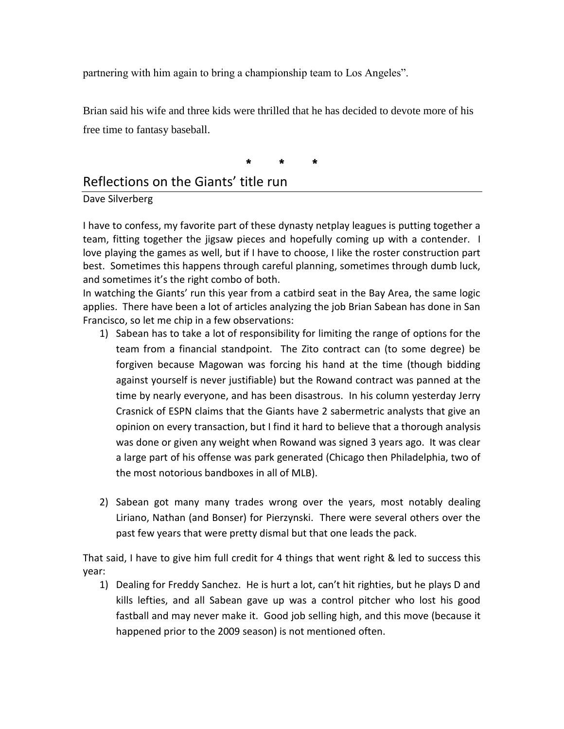partnering with him again to bring a championship team to Los Angeles".

Brian said his wife and three kids were thrilled that he has decided to devote more of his free time to fantasy baseball.

**\* \* \***

### Reflections on the Giants' title run

### Dave Silverberg

I have to confess, my favorite part of these dynasty netplay leagues is putting together a team, fitting together the jigsaw pieces and hopefully coming up with a contender. I love playing the games as well, but if I have to choose, I like the roster construction part best. Sometimes this happens through careful planning, sometimes through dumb luck, and sometimes it's the right combo of both.

In watching the Giants' run this year from a catbird seat in the Bay Area, the same logic applies. There have been a lot of articles analyzing the job Brian Sabean has done in San Francisco, so let me chip in a few observations:

- 1) Sabean has to take a lot of responsibility for limiting the range of options for the team from a financial standpoint. The Zito contract can (to some degree) be forgiven because Magowan was forcing his hand at the time (though bidding against yourself is never justifiable) but the Rowand contract was panned at the time by nearly everyone, and has been disastrous. In his column yesterday Jerry Crasnick of ESPN claims that the Giants have 2 sabermetric analysts that give an opinion on every transaction, but I find it hard to believe that a thorough analysis was done or given any weight when Rowand was signed 3 years ago. It was clear a large part of his offense was park generated (Chicago then Philadelphia, two of the most notorious bandboxes in all of MLB).
- 2) Sabean got many many trades wrong over the years, most notably dealing Liriano, Nathan (and Bonser) for Pierzynski. There were several others over the past few years that were pretty dismal but that one leads the pack.

That said, I have to give him full credit for 4 things that went right & led to success this year:

1) Dealing for Freddy Sanchez. He is hurt a lot, can't hit righties, but he plays D and kills lefties, and all Sabean gave up was a control pitcher who lost his good fastball and may never make it. Good job selling high, and this move (because it happened prior to the 2009 season) is not mentioned often.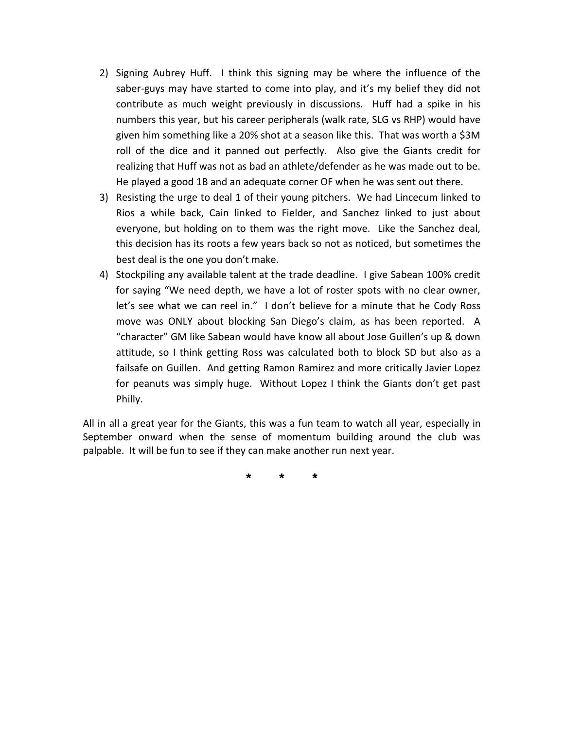- 2) Signing Aubrey Huff. I think this signing may be where the influence of the saber-guys may have started to come into play, and it's my belief they did not contribute as much weight previously in discussions. Huff had a spike in his numbers this year, but his career peripherals (walk rate, SLG vs RHP) would have given him something like a 20% shot at a season like this. That was worth a \$3M roll of the dice and it panned out perfectly. Also give the Giants credit for realizing that Huff was not as bad an athlete/defender as he was made out to be. He played a good 1B and an adequate corner OF when he was sent out there.
- 3) Resisting the urge to deal 1 of their young pitchers. We had Lincecum linked to Rios a while back, Cain linked to Fielder, and Sanchez linked to just about everyone, but holding on to them was the right move. Like the Sanchez deal, this decision has its roots a few years back so not as noticed, but sometimes the best deal is the one you don't make.
- 4) Stockpiling any available talent at the trade deadline. I give Sabean 100% credit for saying "We need depth, we have a lot of roster spots with no clear owner, let's see what we can reel in." I don't believe for a minute that he Cody Ross move was ONLY about blocking San Diego's claim, as has been reported. A "character" GM like Sabean would have know all about Jose Guillen's up & down attitude, so I think getting Ross was calculated both to block SD but also as a failsafe on Guillen. And getting Ramon Ramirez and more critically Javier Lopez for peanuts was simply huge. Without Lopez I think the Giants don't get past Philly.

All in all a great year for the Giants, this was a fun team to watch all year, especially in September onward when the sense of momentum building around the club was palpable. It will be fun to see if they can make another run next year.

**\* \* \***